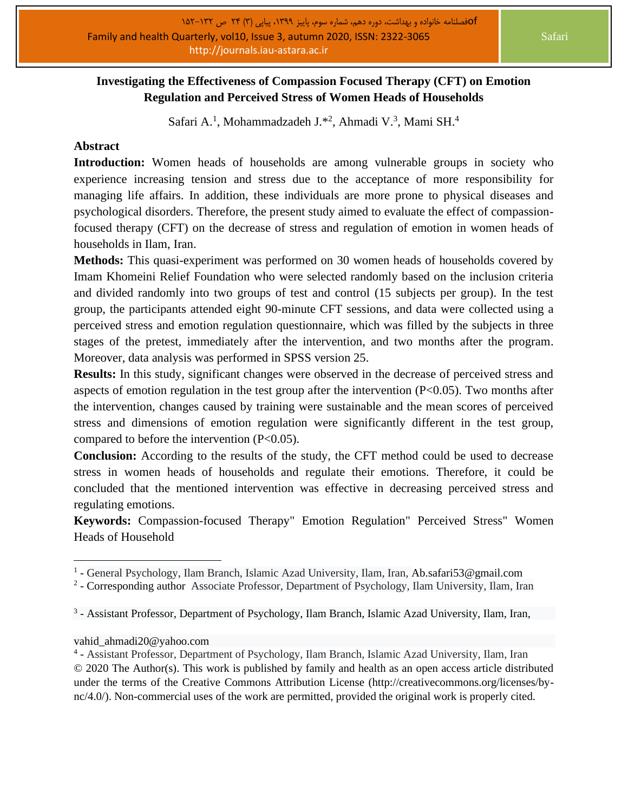## **Investigating the Effectiveness of Compassion Focused Therapy (CFT) on Emotion Regulation and Perceived Stress of Women Heads of Households**

Safari A.<sup>1</sup>, Mohammadzadeh J.\*<sup>2</sup>, Ahmadi V.<sup>3</sup>, Mami SH.<sup>4</sup>

## **Abstract**

**Introduction:** Women heads of households are among vulnerable groups in society who experience increasing tension and stress due to the acceptance of more responsibility for managing life affairs. In addition, these individuals are more prone to physical diseases and psychological disorders. Therefore, the present study aimed to evaluate the effect of compassionfocused therapy (CFT) on the decrease of stress and regulation of emotion in women heads of households in Ilam, Iran.

**Methods:** This quasi-experiment was performed on 30 women heads of households covered by Imam Khomeini Relief Foundation who were selected randomly based on the inclusion criteria and divided randomly into two groups of test and control (15 subjects per group). In the test group, the participants attended eight 90-minute CFT sessions, and data were collected using a perceived stress and emotion regulation questionnaire, which was filled by the subjects in three stages of the pretest, immediately after the intervention, and two months after the program. Moreover, data analysis was performed in SPSS version 25.

**Results:** In this study, significant changes were observed in the decrease of perceived stress and aspects of emotion regulation in the test group after the intervention  $(P<0.05)$ . Two months after the intervention, changes caused by training were sustainable and the mean scores of perceived stress and dimensions of emotion regulation were significantly different in the test group, compared to before the intervention (P<0.05).

**Conclusion:** According to the results of the study, the CFT method could be used to decrease stress in women heads of households and regulate their emotions. Therefore, it could be concluded that the mentioned intervention was effective in decreasing perceived stress and regulating emotions.

**Keywords:** Compassion-focused Therapy" Emotion Regulation" Perceived Stress" Women Heads of Household

[vahid\\_ahmadi20@yahoo.com](mailto:vahid_ahmadi20@yahoo.com)

<sup>&</sup>lt;sup>1</sup> - General Psychology, Ilam Branch, Islamic Azad University, Ilam, Iran, Ab.safari53@gmail.com

<sup>&</sup>lt;sup>2</sup> - Corresponding author Associate Professor, Department of Psychology, Ilam University, Ilam, Iran

<sup>&</sup>lt;sup>3</sup> - Assistant Professor, Department of Psychology, Ilam Branch, Islamic Azad University, Ilam, Iran,

<sup>&</sup>lt;sup>4</sup> - Assistant Professor, Department of Psychology, Ilam Branch, Islamic Azad University, Ilam, Iran © 2020 The Author(s). This work is published by family and health as an open access article distributed under the terms of the Creative Commons Attribution License (http://creativecommons.org/licenses/bync/4.0/). Non-commercial uses of the work are permitted, provided the original work is properly cited.